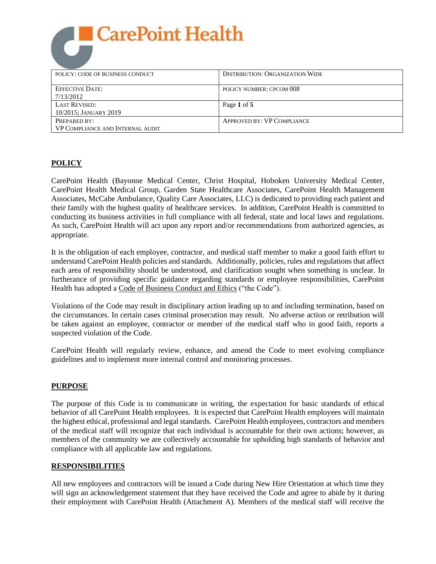

| POLICY: CODE OF BUSINESS CONDUCT        | DISTRIBUTION: ORGANIZATION WIDE |
|-----------------------------------------|---------------------------------|
| EFFECTIVE DATE:                         | POLICY NUMBER: CPCOM 008        |
| 7/13/2012                               |                                 |
| <b>LAST REVISED:</b>                    | Page 1 of 5                     |
| 10/2015; JANUARY 2019                   |                                 |
| PREPARED BY:                            | APPROVED BY: VP COMPLIANCE      |
| <b>VP COMPLIANCE AND INTERNAL AUDIT</b> |                                 |

# **POLICY**

CarePoint Health (Bayonne Medical Center, Christ Hospital, Hoboken University Medical Center, CarePoint Health Medical Group, Garden State Healthcare Associates, CarePoint Health Management Associates, McCabe Ambulance, Quality Care Associates, LLC) is dedicated to providing each patient and their family with the highest quality of healthcare services. In addition, CarePoint Health is committed to conducting its business activities in full compliance with all federal, state and local laws and regulations. As such, CarePoint Health will act upon any report and/or recommendations from authorized agencies, as appropriate.

It is the obligation of each employee, contractor, and medical staff member to make a good faith effort to understand CarePoint Health policies and standards. Additionally, policies, rules and regulations that affect each area of responsibility should be understood, and clarification sought when something is unclear. In furtherance of providing specific guidance regarding standards or employee responsibilities, CarePoint Health has adopted [a Code of Business Conduct and Ethics](file://///Bmcweb/Org%20Pol/Code%20of%20Business%20Conduct%20and%20Ethics.pdf) ("the Code").

Violations of the Code may result in disciplinary action leading up to and including termination, based on the circumstances. In certain cases criminal prosecution may result. No adverse action or retribution will be taken against an employee, contractor or member of the medical staff who in good faith, reports a suspected violation of the Code.

CarePoint Health will regularly review, enhance, and amend the Code to meet evolving compliance guidelines and to implement more internal control and monitoring processes.

## **PURPOSE**

The purpose of this Code is to communicate in writing, the expectation for basic standards of ethical behavior of all CarePoint Health employees. It is expected that CarePoint Health employees will maintain the highest ethical, professional and legal standards. CarePoint Health employees, contractors and members of the medical staff will recognize that each individual is accountable for their own actions; however, as members of the community we are collectively accountable for upholding high standards of behavior and compliance with all applicable law and regulations.

## **RESPONSIBILITIES**

All new employees and contractors will be issued a Code during New Hire Orientation at which time they will sign an acknowledgement statement that they have received the Code and agree to abide by it during their employment with CarePoint Health (Attachment A). Members of the medical staff will receive the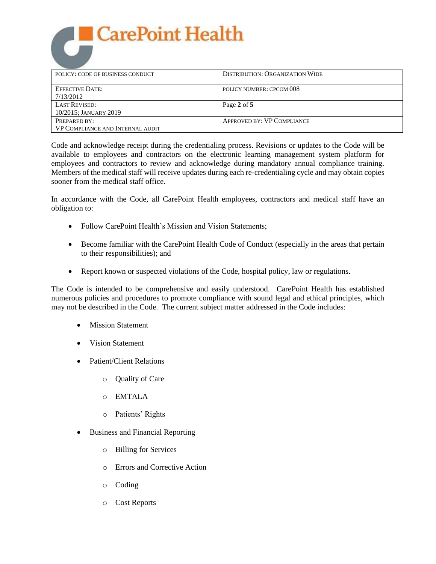

| POLICY: CODE OF BUSINESS CONDUCT        | DISTRIBUTION: ORGANIZATION WIDE |
|-----------------------------------------|---------------------------------|
| <b>EFFECTIVE DATE:</b>                  | POLICY NUMBER: CPCOM 008        |
| 7/13/2012                               |                                 |
| <b>LAST REVISED:</b>                    | Page 2 of 5                     |
| 10/2015; JANUARY 2019                   |                                 |
| PREPARED BY:                            | APPROVED BY: VP COMPLIANCE      |
| <b>VP COMPLIANCE AND INTERNAL AUDIT</b> |                                 |

Code and acknowledge receipt during the credentialing process. Revisions or updates to the Code will be available to employees and contractors on the electronic learning management system platform for employees and contractors to review and acknowledge during mandatory annual compliance training. Members of the medical staff will receive updates during each re-credentialing cycle and may obtain copies sooner from the medical staff office.

In accordance with the Code, all CarePoint Health employees, contractors and medical staff have an obligation to:

- Follow CarePoint Health's Mission and Vision Statements;
- Become familiar with the CarePoint Health Code of Conduct (especially in the areas that pertain to their responsibilities); and
- Report known or suspected violations of the Code, hospital policy, law or regulations.

The Code is intended to be comprehensive and easily understood. CarePoint Health has established numerous policies and procedures to promote compliance with sound legal and ethical principles, which may not be described in the Code. The current subject matter addressed in the Code includes:

- Mission Statement
- Vision Statement
- Patient/Client Relations
	- o Quality of Care
	- o EMTALA
	- o Patients' Rights
- Business and Financial Reporting
	- o Billing for Services
	- o Errors and Corrective Action
	- o Coding
	- o Cost Reports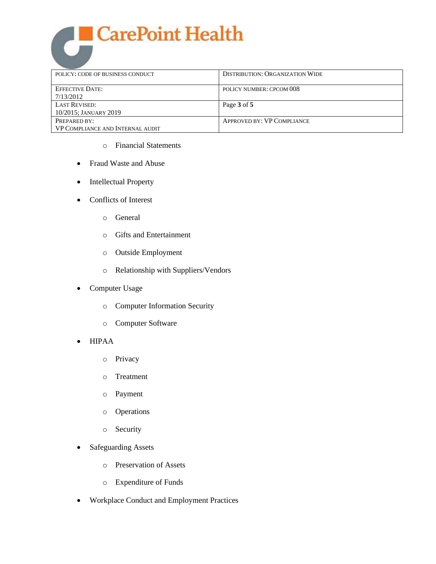

| POLICY: CODE OF BUSINESS CONDUCT        | <b>DISTRIBUTION: ORGANIZATION WIDE</b> |
|-----------------------------------------|----------------------------------------|
| <b>EFFECTIVE DATE:</b>                  | POLICY NUMBER: CPCOM 008               |
| 7/13/2012                               |                                        |
| <b>LAST REVISED:</b>                    | Page 3 of 5                            |
| 10/2015: JANUARY 2019                   |                                        |
| PREPARED BY:                            | APPROVED BY: VP COMPLIANCE             |
| <b>VP COMPLIANCE AND INTERNAL AUDIT</b> |                                        |

- o Financial Statements
- Fraud Waste and Abuse
- Intellectual Property
- Conflicts of Interest
	- o General
	- o Gifts and Entertainment
	- o Outside Employment
	- o Relationship with Suppliers/Vendors
- Computer Usage
	- o Computer Information Security
	- o Computer Software
- HIPAA
	- o Privacy
	- o Treatment
	- o Payment
	- o Operations
	- o Security
- Safeguarding Assets
	- o Preservation of Assets
	- o Expenditure of Funds
- Workplace Conduct and Employment Practices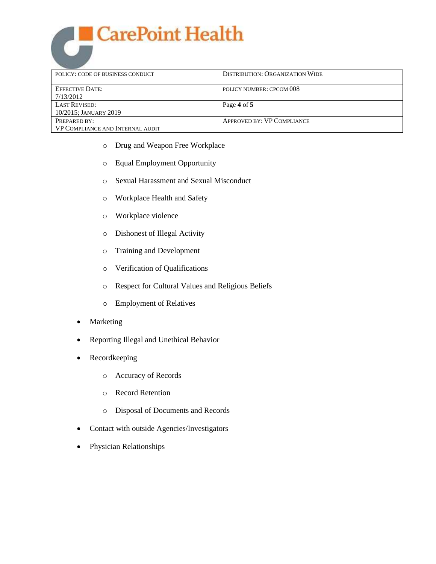

| POLICY: CODE OF BUSINESS CONDUCT        | DISTRIBUTION: ORGANIZATION WIDE |
|-----------------------------------------|---------------------------------|
| <b>EFFECTIVE DATE:</b>                  | POLICY NUMBER: CPCOM 008        |
| 7/13/2012                               |                                 |
| <b>LAST REVISED:</b>                    | Page 4 of 5                     |
| 10/2015; JANUARY 2019                   |                                 |
| PREPARED BY:                            | APPROVED BY: VP COMPLIANCE      |
| <b>VP COMPLIANCE AND INTERNAL AUDIT</b> |                                 |

- o Drug and Weapon Free Workplace
- o Equal Employment Opportunity
- o Sexual Harassment and Sexual Misconduct
- o Workplace Health and Safety
- o Workplace violence
- o Dishonest of Illegal Activity
- o Training and Development
- o Verification of Qualifications
- o Respect for Cultural Values and Religious Beliefs
- o Employment of Relatives
- Marketing
- Reporting Illegal and Unethical Behavior
- Recordkeeping
	- o Accuracy of Records
	- o Record Retention
	- o Disposal of Documents and Records
- Contact with outside Agencies/Investigators
- Physician Relationships